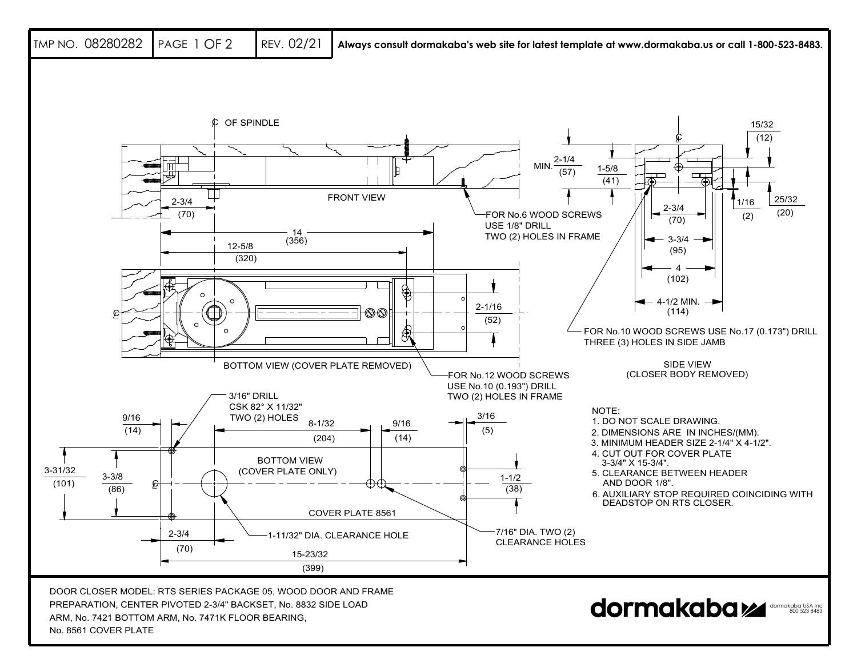